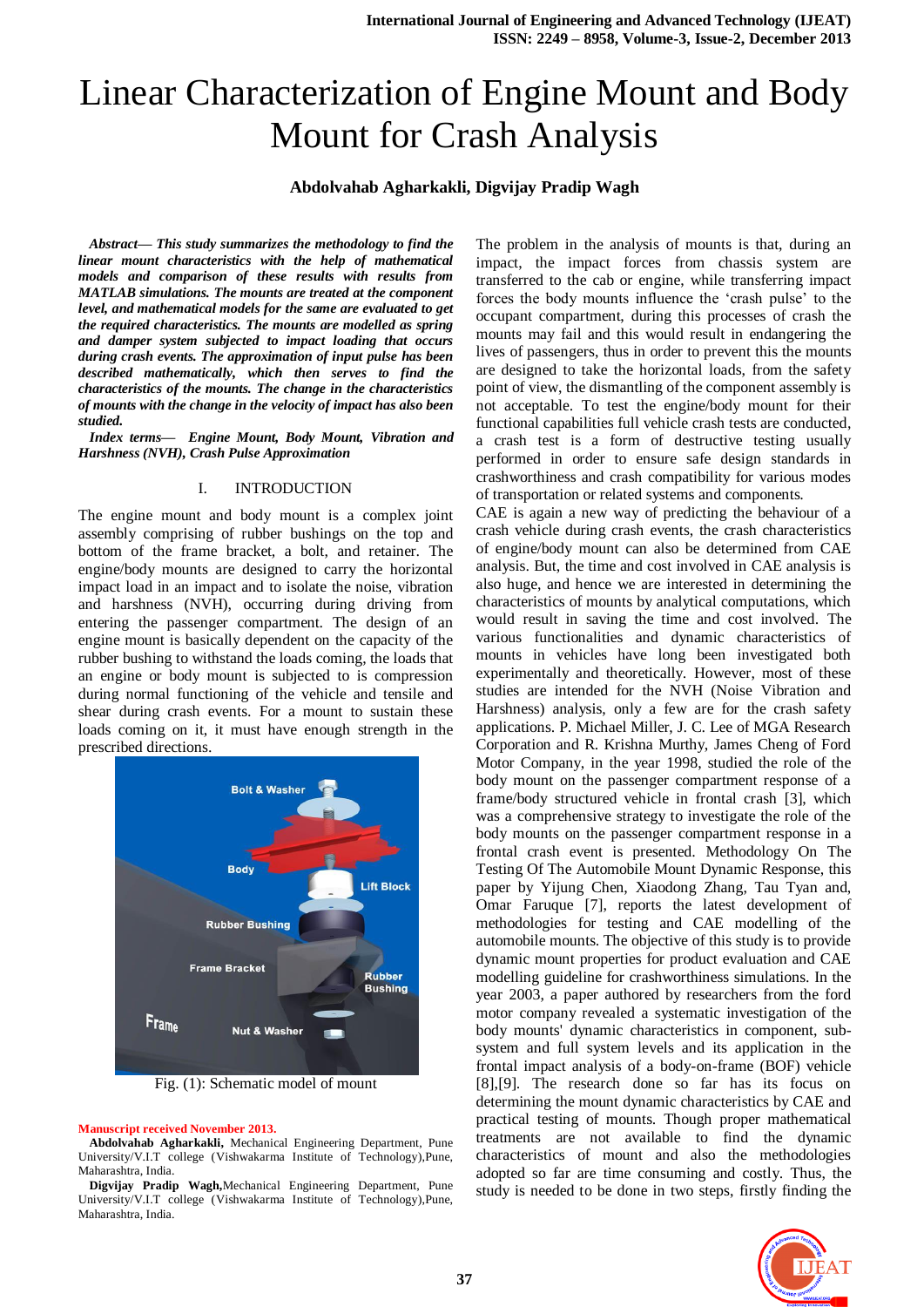# Linear Characterization of Engine Mount and Body Mount for Crash Analysis

#### **Abdolvahab Agharkakli, Digvijay Pradip Wagh**

*Abstract— This study summarizes the methodology to find the linear mount characteristics with the help of mathematical models and comparison of these results with results from MATLAB simulations. The mounts are treated at the component level, and mathematical models for the same are evaluated to get the required characteristics. The mounts are modelled as spring and damper system subjected to impact loading that occurs during crash events. The approximation of input pulse has been described mathematically, which then serves to find the characteristics of the mounts. The change in the characteristics of mounts with the change in the velocity of impact has also been studied.*

*Index terms— Engine Mount, Body Mount, Vibration and Harshness (NVH), Crash Pulse Approximation*

#### I. INTRODUCTION

The engine mount and body mount is a complex joint assembly comprising of rubber bushings on the top and bottom of the frame bracket, a bolt, and retainer. The engine/body mounts are designed to carry the horizontal impact load in an impact and to isolate the noise, vibration and harshness (NVH), occurring during driving from entering the passenger compartment. The design of an engine mount is basically dependent on the capacity of the rubber bushing to withstand the loads coming, the loads that an engine or body mount is subjected to is compression during normal functioning of the vehicle and tensile and shear during crash events. For a mount to sustain these loads coming on it, it must have enough strength in the prescribed directions.



Fig. (1): Schematic model of mount

#### **Manuscript received November 2013.**

**Abdolvahab Agharkakli,** Mechanical Engineering Department, Pune University/V.I.T college (Vishwakarma Institute of Technology),Pune, Maharashtra, India.

**Digvijay Pradip Wagh,**Mechanical Engineering Department, Pune University/V.I.T college (Vishwakarma Institute of Technology),Pune, Maharashtra, India.

The problem in the analysis of mounts is that, during an impact, the impact forces from chassis system are transferred to the cab or engine, while transferring impact forces the body mounts influence the 'crash pulse' to the occupant compartment, during this processes of crash the mounts may fail and this would result in endangering the lives of passengers, thus in order to prevent this the mounts are designed to take the horizontal loads, from the safety point of view, the dismantling of the component assembly is not acceptable. To test the engine/body mount for their functional capabilities full vehicle crash tests are conducted, a crash test is a form of destructive testing usually performed in order to ensure safe design standards in crashworthiness and crash compatibility for various modes of transportation or related systems and components.

CAE is again a new way of predicting the behaviour of a crash vehicle during crash events, the crash characteristics of engine/body mount can also be determined from CAE analysis. But, the time and cost involved in CAE analysis is also huge, and hence we are interested in determining the characteristics of mounts by analytical computations, which would result in saving the time and cost involved. The various functionalities and dynamic characteristics of mounts in vehicles have long been investigated both experimentally and theoretically. However, most of these studies are intended for the NVH (Noise Vibration and Harshness) analysis, only a few are for the crash safety applications. P. Michael Miller, J. C. Lee of MGA Research Corporation and R. Krishna Murthy, James Cheng of Ford Motor Company, in the year 1998, studied the role of the body mount on the passenger compartment response of a frame/body structured vehicle in frontal crash [3], which was a comprehensive strategy to investigate the role of the body mounts on the passenger compartment response in a frontal crash event is presented. Methodology On The Testing Of The Automobile Mount Dynamic Response, this paper by [Yijung Chen, X](http://www.sae.org/servlets/product?PROD_TYP=PAPER&ACN=79437822691&AUTHOR_NAME=Yijung+Chen&PLA_SW=YES)iaodong Zhang, [Tau Tyan and,](http://www.sae.org/servlets/product?PROD_TYP=PAPER&ACN=77395843232&AUTHOR_NAME=Tau+Tyan&PLA_SW=YES)  Omar Faruque [7], reports the latest development of methodologies for testing and CAE modelling of the automobile mounts. The objective of this study is to provide dynamic mount properties for product evaluation and CAE modelling guideline for crashworthiness simulations. In the year 2003, a paper authored by researchers from the ford motor company revealed a systematic investigation of the body mounts' dynamic characteristics in component, subsystem and full system levels and its application in the frontal impact analysis of a body-on-frame (BOF) vehicle [8],[9]. The research done so far has its focus on determining the mount dynamic characteristics by CAE and practical testing of mounts. Though proper mathematical treatments are not available to find the dynamic characteristics of mount and also the methodologies adopted so far are time consuming and costly. Thus, the study is needed to be done in two steps, firstly finding the

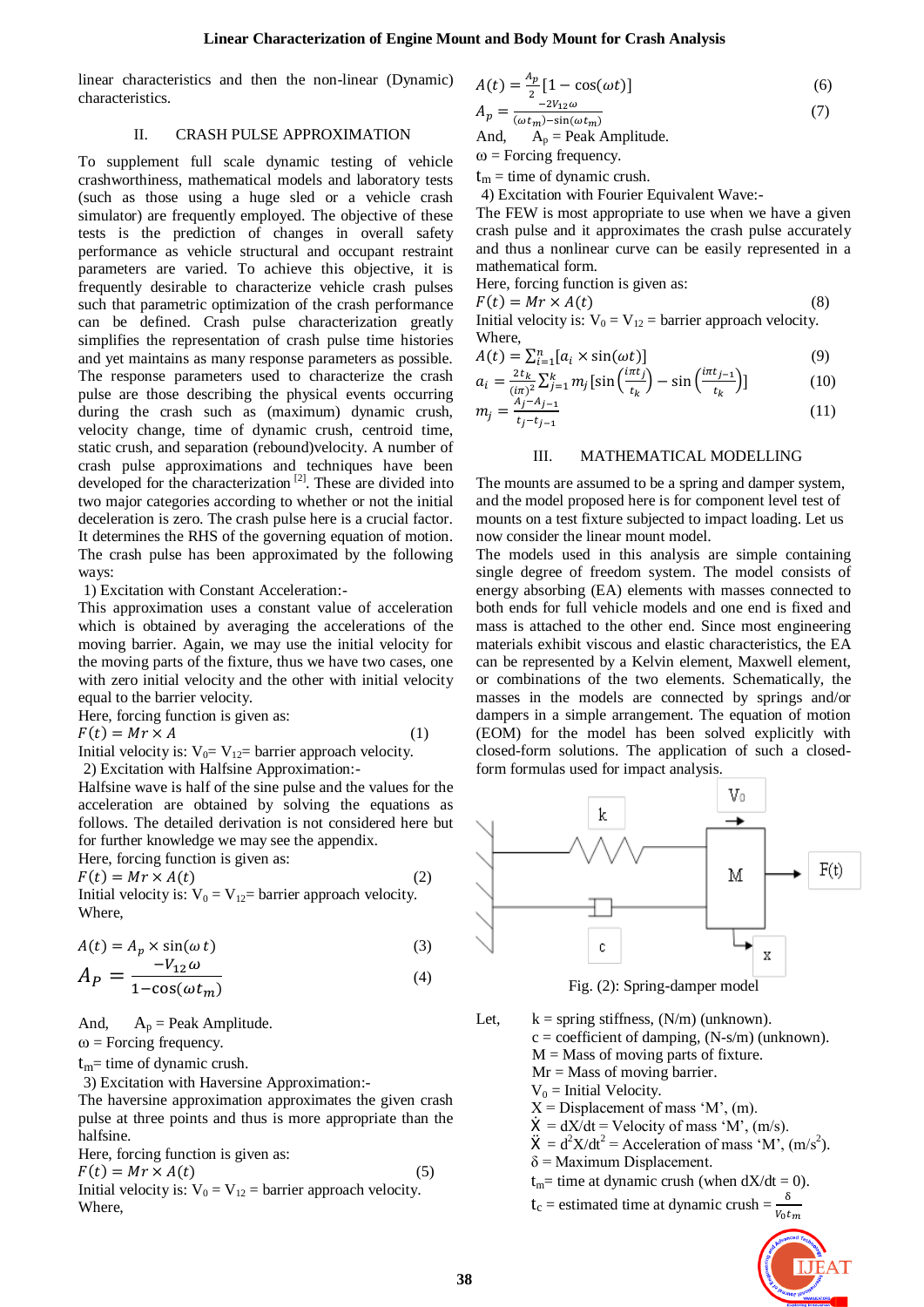linear characteristics and then the non-linear (Dynamic) characteristics.

#### II. CRASH PULSE APPROXIMATION

To supplement full scale dynamic testing of vehicle crashworthiness, mathematical models and laboratory tests (such as those using a huge sled or a vehicle crash simulator) are frequently employed. The objective of these tests is the prediction of changes in overall safety performance as vehicle structural and occupant restraint parameters are varied. To achieve this objective, it is frequently desirable to characterize vehicle crash pulses such that parametric optimization of the crash performance can be defined. Crash pulse characterization greatly simplifies the representation of crash pulse time histories and yet maintains as many response parameters as possible. The response parameters used to characterize the crash pulse are those describing the physical events occurring during the crash such as (maximum) dynamic crush, velocity change, time of dynamic crush, centroid time, static crush, and separation (rebound)velocity. A number of crash pulse approximations and techniques have been developed for the characterization<sup>[2]</sup>. These are divided into two major categories according to whether or not the initial deceleration is zero. The crash pulse here is a crucial factor. It determines the RHS of the governing equation of motion. The crash pulse has been approximated by the following ways:

1) Excitation with Constant Acceleration:-

This approximation uses a constant value of acceleration which is obtained by averaging the accelerations of the moving barrier. Again, we may use the initial velocity for the moving parts of the fixture, thus we have two cases, one with zero initial velocity and the other with initial velocity equal to the barrier velocity.

Here, forcing function is given as:  $F(t) = Mr \times A$  (1)

Initial velocity is:  $V_0 = V_{12}$  barrier approach velocity.

2) Excitation with Halfsine Approximation:-

Halfsine wave is half of the sine pulse and the values for the acceleration are obtained by solving the equations as follows. The detailed derivation is not considered here but for further knowledge we may see the appendix.

Here, forcing function is given as:

 $F(t) = Mr \times A(t)$  (2) Initial velocity is:  $V_0 = V_{12}$  barrier approach velocity. Where,

$$
A(t) = A_p \times \sin(\omega t)
$$
 (3)

$$
A_P = \frac{-V_{12}\omega}{1 - \cos(\omega t_m)}\tag{4}
$$

And,  $A_p$  = Peak Amplitude.

 $\omega$  = Forcing frequency.

 $t_m$ = time of dynamic crush.

3) Excitation with Haversine Approximation:-

The haversine approximation approximates the given crash pulse at three points and thus is more appropriate than the halfsine.

Here, forcing function is given as:

 $F(t) = Mr \times A(t)$  (5)

Initial velocity is:  $V_0 = V_{12} =$  barrier approach velocity. Where,

$$
A(t) = \frac{A_p}{2} [1 - \cos(\omega t)]
$$
 (6)

$$
A_p = \frac{-2V_{12}\omega}{(\omega t_m) - \sin(\omega t_m)}
$$
(7)

And,  $A_p$  = Peak Amplitude.

 $\omega$  = Forcing frequency.

 $t_m$  = time of dynamic crush.

4) Excitation with Fourier Equivalent Wave:-

The FEW is most appropriate to use when we have a given crash pulse and it approximates the crash pulse accurately and thus a nonlinear curve can be easily represented in a mathematical form.

Here, forcing function is given as:

 $F(t) = Mr \times A(t)$  (8)

Initial velocity is:  $V_0 = V_{12} =$  barrier approach velocity. Where,

$$
A(t) = \sum_{i=1}^{n} [a_i \times \sin(\omega t)] \tag{9}
$$

$$
a_{i} = \frac{2t_{k}}{(i\pi)^{2}} \sum_{j=1}^{k} m_{j} \left[ \sin\left(\frac{i\pi t_{j}}{t_{k}}\right) - \sin\left(\frac{i\pi t_{j-1}}{t_{k}}\right) \right]
$$
(10)

$$
m_j = \frac{A_j - A_{j-1}}{t_j - t_{j-1}}\tag{11}
$$

### III. MATHEMATICAL MODELLING

The mounts are assumed to be a spring and damper system, and the model proposed here is for component level test of mounts on a test fixture subjected to impact loading. Let us now consider the linear mount model.

The models used in this analysis are simple containing single degree of freedom system. The model consists of energy absorbing (EA) elements with masses connected to both ends for full vehicle models and one end is fixed and mass is attached to the other end. Since most engineering materials exhibit viscous and elastic characteristics, the EA can be represented by a Kelvin element, Maxwell element, or combinations of the two elements. Schematically, the masses in the models are connected by springs and/or dampers in a simple arrangement. The equation of motion (EOM) for the model has been solved explicitly with closed-form solutions. The application of such a closedform formulas used for impact analysis.



Fig. (2): Spring-damper model

- Let,  $k =$  spring stiffness,  $(N/m)$  (unknown).  $c = coefficient of damping, (N-s/m) (unknown).$  $M =$ Mass of moving parts of fixture. Mr = Mass of moving barrier.  $V_0$  = Initial Velocity.
	- $X =$  Displacement of mass 'M', (m).
	- $\dot{X} = dX/dt = Velociety of mass 'M', (m/s).$
	- $\ddot{X} = d^2X/dt^2$  = Acceleration of mass 'M', (m/s<sup>2</sup>).
	- $\delta$  = Maximum Displacement.
	- $t_m$ = time at dynamic crush (when  $dX/dt = 0$ ).
	- $t_c$  = estimated time at dynamic crush =  $\frac{1}{v}$

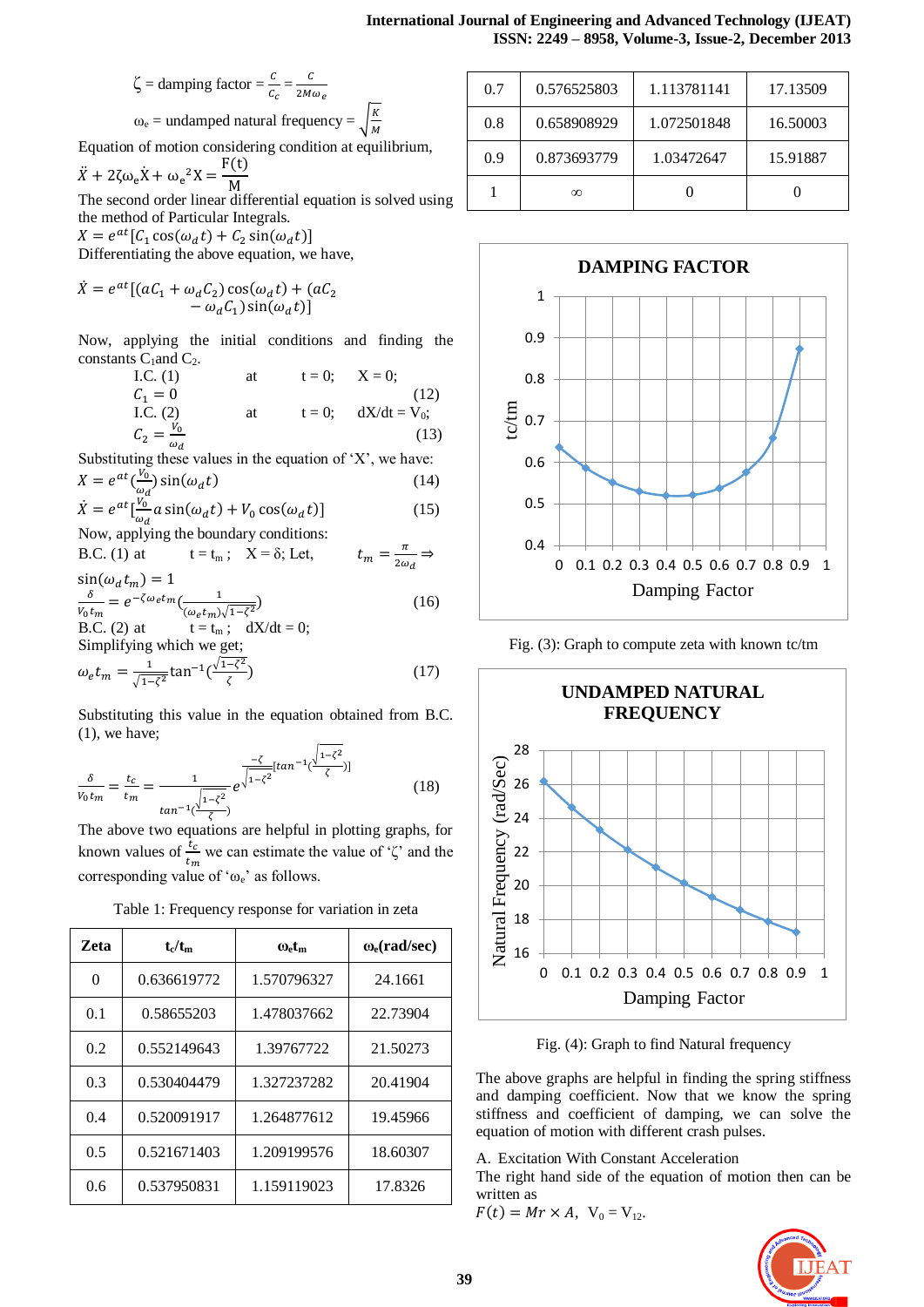$$
\zeta = \text{damping factor} = \frac{c}{c_c} = \frac{c}{2M\omega_e}
$$

$$
\omega_e = \text{undamped natural frequency} =
$$

Equation of motion considering condition at equilibrium,

K M

$$
\ddot{X} + 2\zeta\omega_e \dot{X} + \omega_e{}^2 X = \frac{F(t)}{M}
$$

The second order linear differential equation is solved using the method of Particular Integrals.

 $X = e^a$ Differentiating the above equation, we have,

$$
\mathcal{L} = \mathcal{L} \mathcal{L} \mathcal{L} \mathcal{L}
$$

$$
\dot{X} = e^{at} [(aC_1 + \omega_d C_2) \cos(\omega_d t) + (aC_2 - \omega_d C_1) \sin(\omega_d t)]
$$

Now, applying the initial conditions and finding the constants  $C_1$  and  $C_2$ .

| I.C. $(1)$                   | at | $t=0$ : | $X = 0$ :       |
|------------------------------|----|---------|-----------------|
| $C_1 = 0$                    |    |         | (12)            |
| I.C. $(2)$                   | at | $t=0$ : | $dX/dt = V_0$ ; |
| $C_2 = \frac{V_0}{\omega_d}$ |    |         | (13)            |

Substituting these values in the equation of  $X'$ , we have:  $X = e^{at}(\frac{V_0}{r})\sin(\omega_d t)$  (14)

$$
\dot{X} = e^{\alpha t} \left( \frac{V_0}{\omega_d} \right) \sin(\omega_d t)
$$
\n
$$
\dot{X} = e^{\alpha t} \left[ \frac{V_0}{\omega_d} a \sin(\omega_d t) + V_0 \cos(\omega_d t) \right]
$$
\n(15)

Now, applying the boundary conditions:

B.C. (1) at 
$$
t = t_m
$$
;  $X = \delta$ ; Let,  $t_m = \frac{\pi}{2\omega_d} \Rightarrow$   
sin( $\omega$ ,  $t_w$ ) = 1

$$
\frac{\delta}{V_0 t_m} = e^{-\zeta \omega_e t_m} \left( \frac{1}{(\omega_e t_m) \sqrt{1 - \zeta^2}} \right)
$$
(16)

B.C. (2) at 
$$
t = t_m
$$
;  $dX/dt = 0$ ;  
Simplifying which we get;  

$$
\omega_e t_m = \frac{1}{\sqrt{1-\zeta^2}} \tan^{-1}(\frac{\sqrt{1-\zeta^2}}{\zeta})
$$
(17)

Substituting this value in the equation obtained from B.C. (1), we have;

$$
\frac{\delta}{V_0 t_m} = \frac{t_c}{t_m} = \frac{1}{\tan^{-1}(\frac{\sqrt{1-\zeta^2}}{Z})} e^{\frac{-\zeta}{\sqrt{1-\zeta^2}} [tan^{-1}(\frac{\sqrt{1-\zeta^2}}{\zeta})]}
$$
(18)

The above two equations are helpful in plotting graphs, for known values of  $\frac{c_c}{t_m}$  we can estimate the value of ' $\zeta$ ' and the corresponding value of ' $\omega_e$ ' as follows.

| Table 1: Frequency response for variation in zeta |  |  |  |  |  |
|---------------------------------------------------|--|--|--|--|--|
|---------------------------------------------------|--|--|--|--|--|

| <b>Zeta</b> | $t_c/t_m$   | $\omega_{\rm e}$ t <sub>m</sub> | $\omega$ <sub>e</sub> (rad/sec) |
|-------------|-------------|---------------------------------|---------------------------------|
| 0           | 0.636619772 | 1.570796327                     | 24.1661                         |
| 0.1         | 0.58655203  | 1.478037662                     | 22.73904                        |
| 0.2         | 0.552149643 | 1.39767722                      | 21.50273                        |
| 0.3         | 0.530404479 | 1.327237282                     | 20.41904                        |
| 0.4         | 0.520091917 | 1.264877612                     | 19.45966                        |
| 0.5         | 0.521671403 | 1.209199576                     | 18.60307                        |
| 0.6         | 0.537950831 | 1.159119023                     | 17.8326                         |

| 0.7 | 0.576525803 | 1.113781141 | 17.13509 |
|-----|-------------|-------------|----------|
| 0.8 | 0.658908929 | 1.072501848 | 16.50003 |
| 0.9 | 0.873693779 | 1.03472647  | 15.91887 |
|     | ന           |             |          |



Fig. (3): Graph to compute zeta with known tc/tm



Fig. (4): Graph to find Natural frequency

The above graphs are helpful in finding the spring stiffness and damping coefficient. Now that we know the spring stiffness and coefficient of damping, we can solve the equation of motion with different crash pulses.

A. Excitation With Constant Acceleration

The right hand side of the equation of motion then can be written as

 $F(t) = Mr \times A$ ,  $V_0 = V_{12}$ .

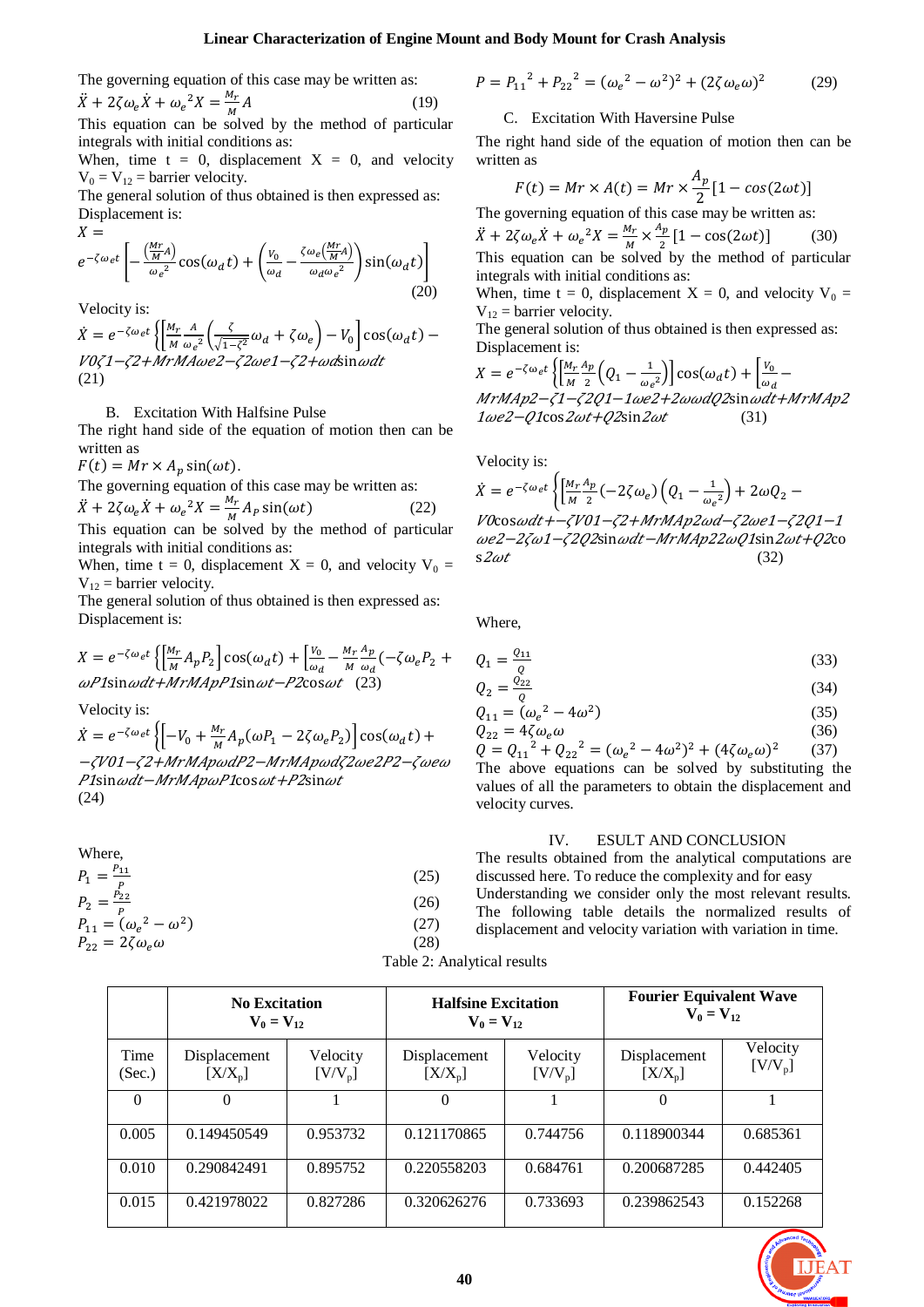The governing equation of this case may be written as:  $\ddot{X} + 2\zeta \omega_e \dot{X} + \omega_e{}^2 X = \frac{M}{R}$ M (19)

This equation can be solved by the method of particular integrals with initial conditions as:

When, time  $t = 0$ , displacement  $X = 0$ , and velocity  $V_0 = V_{12}$  = barrier velocity.

The general solution of thus obtained is then expressed as: Displacement is:  $V =$ 

$$
\alpha =
$$
\n
$$
e^{-\zeta \omega_e t} \left[ -\frac{\left(\frac{Mr}{M}A\right)}{\omega_e^2} \cos(\omega_d t) + \left(\frac{v_0}{\omega_d} - \frac{\zeta \omega_e \left(\frac{Mr}{M}A\right)}{\omega_d \omega_e^2}\right) \sin(\omega_d t) \right]
$$
\n(20)

Velocity is:

 $\dot{X} = e^{-\zeta \omega_e t} \left\{ \frac{M}{M} \right\}$ M  $\overline{A}$  $\frac{A}{\omega_e^2} \left( \frac{\zeta}{\sqrt{1-\zeta}} \right)$  $\frac{\varsigma}{\sqrt{1-\zeta^2}}\omega_d+\zeta\omega_e\Big)-V_0\Big]$  $V0\zeta$ 1- $\zeta$ 2+MrMAwe2- $\zeta$ 2we1- $\zeta$ 2+wdsinwdt (21)

B. Excitation With Halfsine Pulse

The right hand side of the equation of motion then can be written as

 $F(t) = Mr \times A_p \sin(\omega t).$ 

The governing equation of this case may be written as:  $\ddot{X} + 2\zeta \omega_e \dot{X} + \omega_e{}^2 X = \frac{M}{R}$  $\frac{m_r}{M}A_p \sin(\omega t)$  (22)

This equation can be solved by the method of particular integrals with initial conditions as:

When, time t = 0, displacement  $X = 0$ , and velocity  $V_0 =$  $V_{12}$  = barrier velocity.

The general solution of thus obtained is then expressed as: Displacement is:

$$
X = e^{-\zeta \omega_e t} \left\{ \left[ \frac{M_r}{M} A_p P_2 \right] \cos(\omega_d t) + \left[ \frac{V_0}{\omega_d} - \frac{M_r}{M} \frac{A_p}{\omega_d} \left( -\zeta \omega_e P_2 + \omega P \right) \sin \omega t + MrMApp2 \sin \omega t - P \cos \omega t \right] \tag{23}
$$

Velocity is:

 $\dot{X} = e^{-\zeta \omega_e t} \left\{ \begin{bmatrix} -V_0 + \frac{M}{\lambda} \end{bmatrix} \right.$  $\frac{M_r}{M}A_p(\omega P_1 - 2\zeta \omega_e P_2)$ -701-72+MrMApwdP2-MrMApwd72we2P2-7wew P1sin wdt-MrMApwP1cos wt+P2sin wt (24)

Where,  
\n
$$
P_1 = \frac{P_{11}}{P}
$$
\n
$$
P_2 = \frac{P_{22}}{P}
$$
\n
$$
P_{11} = (\omega_e^2 - \omega^2)
$$
\n
$$
P_{22} = 2\zeta\omega_e\omega
$$
\n(28)

$$
P = P_{11}^2 + P_{22}^2 = (\omega_e^2 - \omega^2)^2 + (2\zeta\omega_e\omega)^2 \tag{29}
$$

### C. Excitation With Haversine Pulse

The right hand side of the equation of motion then can be written as

$$
F(t) = Mr \times A(t) = Mr \times \frac{A_p}{2} [1 - \cos(2\omega t)]
$$
  
The governing equation of this case may be written as:

 $\ddot{X} + 2\zeta \omega_e \dot{X} + \omega_e{}^2 X = \frac{M}{R}$  $\frac{M_r}{M} \times \frac{A}{A}$  $\frac{Np}{2}[1 - \cos(2\omega t)]$  (30) This equation can be solved by the method of particular integrals with initial conditions as:

When, time t = 0, displacement  $X = 0$ , and velocity  $V_0 =$  $V_{12}$  = barrier velocity.

The general solution of thus obtained is then expressed as: Displacement is:

$$
X = e^{-\zeta \omega_e t} \left\{ \left[ \frac{M_r}{M} \frac{A_p}{2} \left( Q_1 - \frac{1}{\omega_e^2} \right) \right] \cos(\omega_d t) + \left[ \frac{V_0}{\omega_d} - \frac{M r M A p^2 - \zeta^2 Q^2 - 1 \omega e^2 + 2 \omega \omega d Q^2 \sin \omega dt + M r M A p^2 \right] \right\}
$$
  
1 \omega e^2 - Q^2 \cos 2\omega t + Q^2 \sin 2\omega t \qquad (31)

$$
\text{Velocity is:} \\
\dot{X} = e^{-\zeta \omega_e t} \left\{ \left[ \frac{M_r}{M} \frac{A_p}{2} \left( -2\zeta \omega_e \right) \left( Q_1 - \frac{1}{\omega_e^2} \right) + 2\omega Q_2 - V \frac{Q_0 \omega_e}{2} \right] \right\} \\
\text{VDCos} \omega dt + -\zeta V 01 - \zeta 2 + MrMAp2 \omega d - \zeta 2 \omega e^2 - \zeta 2 Q 1 - 1 \\
\omega e^2 - 2\zeta \omega 1 - \zeta 2 Q 2 \sin \omega dt - MrMAp22 \omega Q 1 \sin 2\omega t + Q 2 \cos 2\omega t \tag{32}
$$

Where,

$$
Q_1 = \frac{Q_{11}}{Q} \tag{33}
$$

$$
Q_2 = \frac{Q_{22}}{Q} \tag{34}
$$

$$
Q_{11} = (\omega_e^2 - 4\omega^2) Q_{22} = 4\zeta \omega_e \omega
$$
 (35)

 $Q = Q_{11}^2 + Q_{22}^2 = (\omega_e^2 - 4\omega^2)^2 + (4\zeta\omega_e\omega)^2$ (37) The above equations can be solved by substituting the values of all the parameters to obtain the displacement and velocity curves.

#### IV. ESULT AND CONCLUSION

The results obtained from the analytical computations are discussed here. To reduce the complexity and for easy Understanding we consider only the most relevant results. The following table details the normalized results of displacement and velocity variation with variation in time.

|                | <b>No Excitation</b><br>$V_0 = V_{12}$ |                         | <b>Halfsine Excitation</b><br>$V_0 = V_{12}$ |                       | <b>Fourier Equivalent Wave</b><br>$V_0 = V_{12}$ |                         |
|----------------|----------------------------------------|-------------------------|----------------------------------------------|-----------------------|--------------------------------------------------|-------------------------|
| Time<br>(Sec.) | Displacement<br>$[X/X_{p}]$            | Velocity<br>$[V/V_{p}]$ | Displacement<br>$[X/X_p]$                    | Velocity<br>$[V/V_p]$ | Displacement<br>$[X/X_{p}]$                      | Velocity<br>$[V/V_{p}]$ |
| $\Omega$       | $\Omega$                               |                         | $\Omega$                                     |                       | $\Omega$                                         |                         |
| 0.005          | 0.149450549                            | 0.953732                | 0.121170865                                  | 0.744756              | 0.118900344                                      | 0.685361                |
| 0.010          | 0.290842491                            | 0.895752                | 0.220558203                                  | 0.684761              | 0.200687285                                      | 0.442405                |
| 0.015          | 0.421978022                            | 0.827286                | 0.320626276                                  | 0.733693              | 0.239862543                                      | 0.152268                |



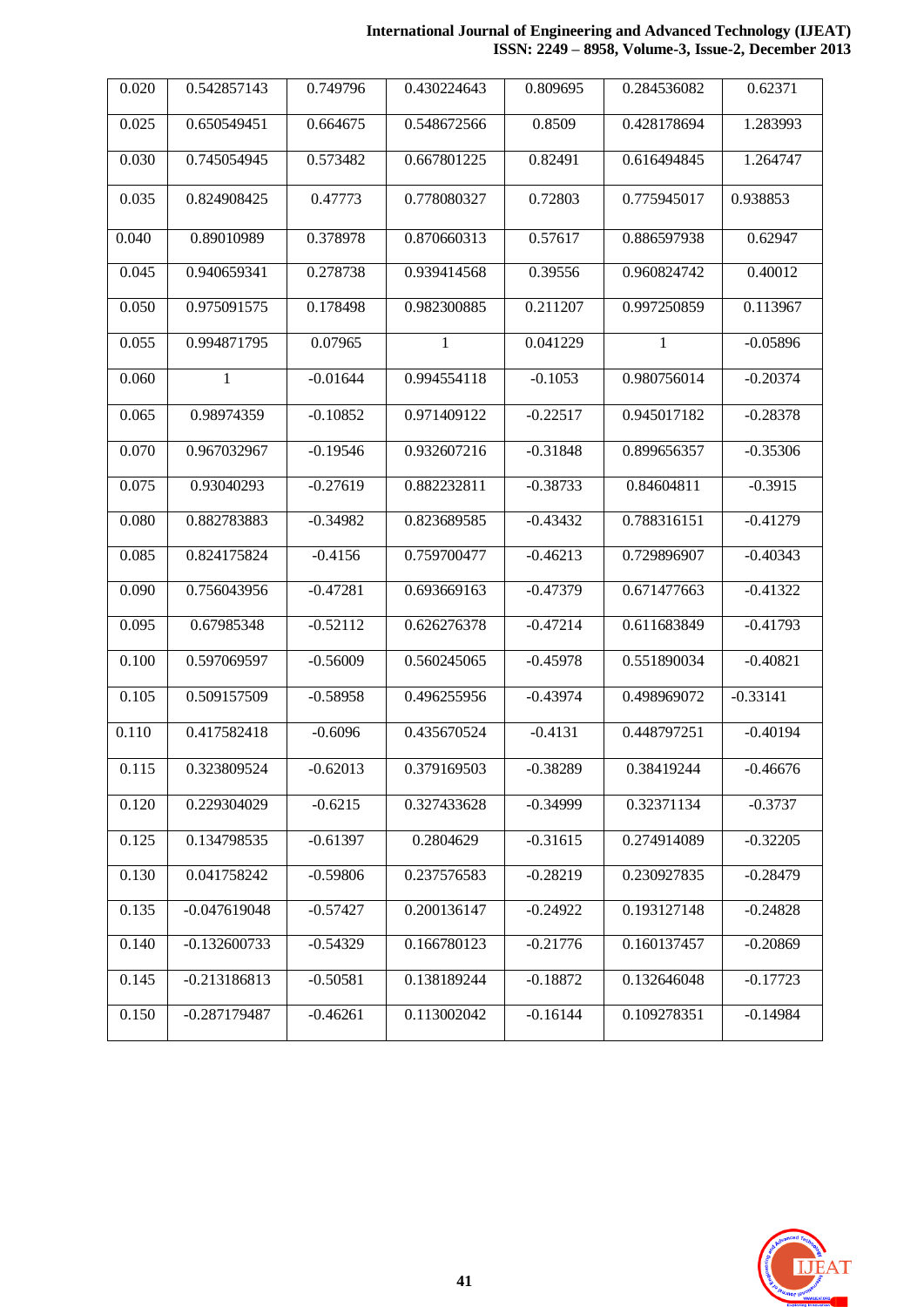### **International Journal of Engineering and Advanced Technology (IJEAT) ISSN: 2249 – 8958, Volume-3, Issue-2, December 2013**

| 0.020 | 0.542857143    | 0.749796   | 0.430224643  | 0.809695   | 0.284536082 | 0.62371    |
|-------|----------------|------------|--------------|------------|-------------|------------|
| 0.025 | 0.650549451    | 0.664675   | 0.548672566  | 0.8509     | 0.428178694 | 1.283993   |
| 0.030 | 0.745054945    | 0.573482   | 0.667801225  | 0.82491    | 0.616494845 | 1.264747   |
| 0.035 | 0.824908425    | 0.47773    | 0.778080327  | 0.72803    | 0.775945017 | 0.938853   |
| 0.040 | 0.89010989     | 0.378978   | 0.870660313  | 0.57617    | 0.886597938 | 0.62947    |
| 0.045 | 0.940659341    | 0.278738   | 0.939414568  | 0.39556    | 0.960824742 | 0.40012    |
| 0.050 | 0.975091575    | 0.178498   | 0.982300885  | 0.211207   | 0.997250859 | 0.113967   |
| 0.055 | 0.994871795    | 0.07965    | $\mathbf{1}$ | 0.041229   | 1           | $-0.05896$ |
| 0.060 | 1              | $-0.01644$ | 0.994554118  | $-0.1053$  | 0.980756014 | $-0.20374$ |
| 0.065 | 0.98974359     | $-0.10852$ | 0.971409122  | $-0.22517$ | 0.945017182 | $-0.28378$ |
| 0.070 | 0.967032967    | $-0.19546$ | 0.932607216  | $-0.31848$ | 0.899656357 | $-0.35306$ |
| 0.075 | 0.93040293     | $-0.27619$ | 0.882232811  | $-0.38733$ | 0.84604811  | $-0.3915$  |
| 0.080 | 0.882783883    | $-0.34982$ | 0.823689585  | $-0.43432$ | 0.788316151 | $-0.41279$ |
| 0.085 | 0.824175824    | $-0.4156$  | 0.759700477  | $-0.46213$ | 0.729896907 | $-0.40343$ |
| 0.090 | 0.756043956    | $-0.47281$ | 0.693669163  | $-0.47379$ | 0.671477663 | $-0.41322$ |
| 0.095 | 0.67985348     | $-0.52112$ | 0.626276378  | $-0.47214$ | 0.611683849 | $-0.41793$ |
| 0.100 | 0.597069597    | $-0.56009$ | 0.560245065  | $-0.45978$ | 0.551890034 | $-0.40821$ |
| 0.105 | 0.509157509    | $-0.58958$ | 0.496255956  | $-0.43974$ | 0.498969072 | $-0.33141$ |
| 0.110 | 0.417582418    | $-0.6096$  | 0.435670524  | $-0.4131$  | 0.448797251 | $-0.40194$ |
| 0.115 | 0.323809524    | $-0.62013$ | 0.379169503  | $-0.38289$ | 0.38419244  | $-0.46676$ |
| 0.120 | 0.229304029    | $-0.6215$  | 0.327433628  | $-0.34999$ | 0.32371134  | $-0.3737$  |
| 0.125 | 0.134798535    | $-0.61397$ | 0.2804629    | $-0.31615$ | 0.274914089 | $-0.32205$ |
| 0.130 | 0.041758242    | $-0.59806$ | 0.237576583  | $-0.28219$ | 0.230927835 | $-0.28479$ |
| 0.135 | $-0.047619048$ | $-0.57427$ | 0.200136147  | $-0.24922$ | 0.193127148 | $-0.24828$ |
| 0.140 | $-0.132600733$ | $-0.54329$ | 0.166780123  | $-0.21776$ | 0.160137457 | $-0.20869$ |
| 0.145 | $-0.213186813$ | $-0.50581$ | 0.138189244  | $-0.18872$ | 0.132646048 | $-0.17723$ |
| 0.150 | $-0.287179487$ | $-0.46261$ | 0.113002042  | $-0.16144$ | 0.109278351 | $-0.14984$ |

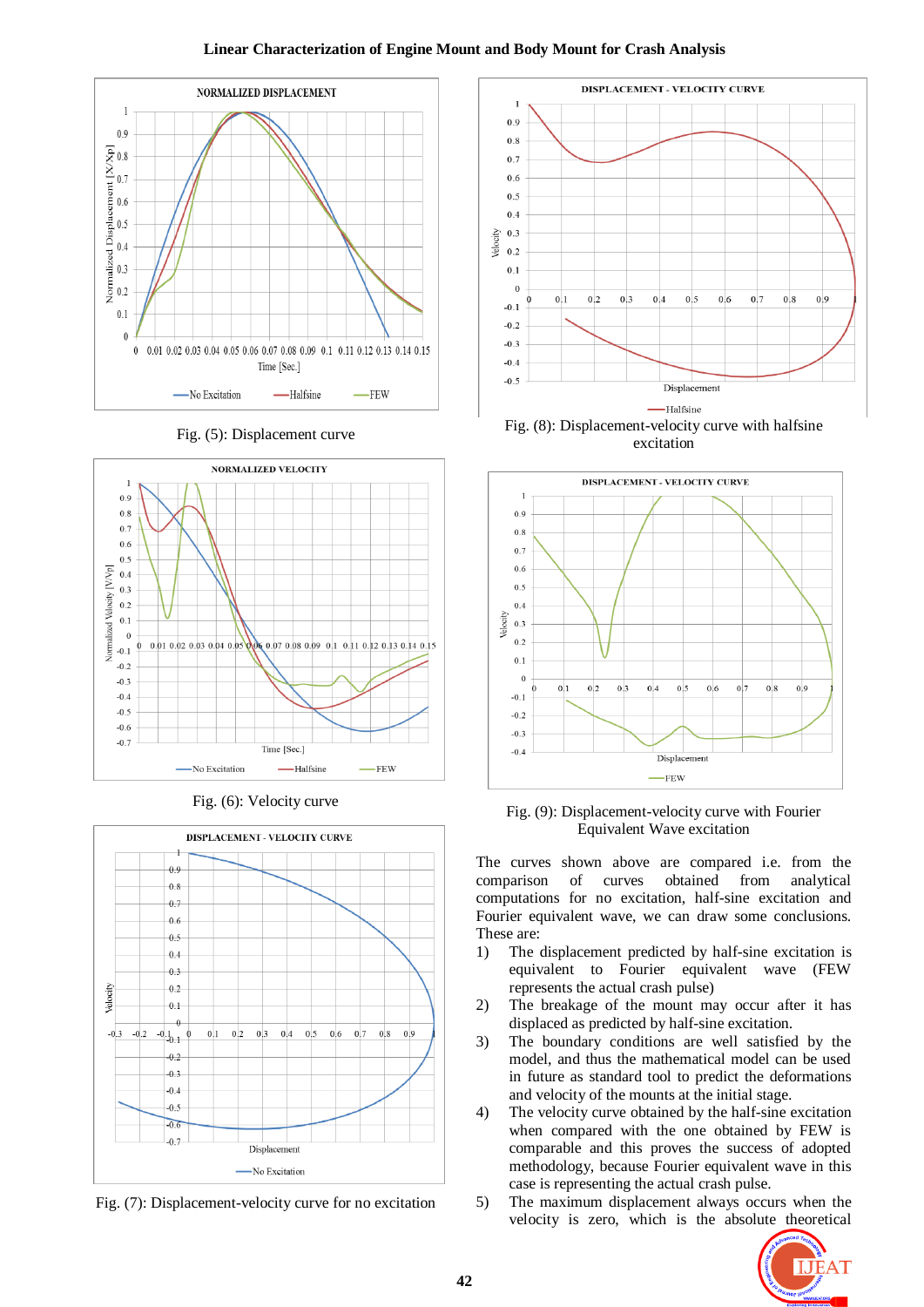## **Linear Characterization of Engine Mount and Body Mount for Crash Analysis**



Fig. (5): Displacement curve







Fig. (7): Displacement-velocity curve for no excitation



excitation



Fig. (9): Displacement-velocity curve with Fourier Equivalent Wave excitation

The curves shown above are compared i.e. from the comparison of curves obtained from analytical computations for no excitation, half-sine excitation and Fourier equivalent wave, we can draw some conclusions. These are:

- 1) The displacement predicted by half-sine excitation is equivalent to Fourier equivalent wave (FEW represents the actual crash pulse)
- 2) The breakage of the mount may occur after it has displaced as predicted by half-sine excitation.
- 3) The boundary conditions are well satisfied by the model, and thus the mathematical model can be used in future as standard tool to predict the deformations and velocity of the mounts at the initial stage.
- 4) The velocity curve obtained by the half-sine excitation when compared with the one obtained by FEW is comparable and this proves the success of adopted methodology, because Fourier equivalent wave in this case is representing the actual crash pulse.
- 5) The maximum displacement always occurs when the velocity is zero, which is the absolute theoretical